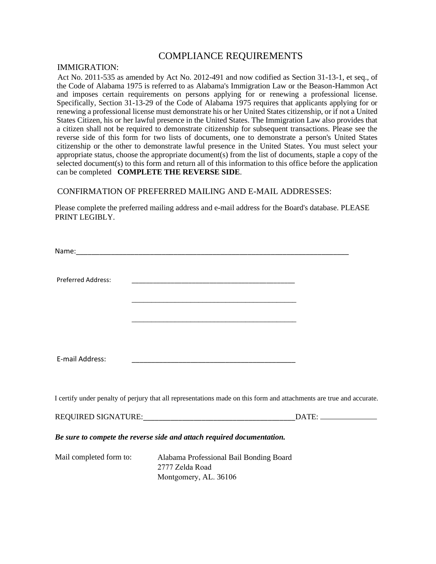## COMPLIANCE REQUIREMENTS

## IMMIGRATION:

Act No. 2011-535 as amended by Act No. 2012-491 and now codified as Section 31-13-1, et seq., of the Code of Alabama 1975 is referred to as Alabama's Immigration Law or the Beason-Hammon Act and imposes certain requirements on persons applying for or renewing a professional license. Specifically, Section 31-13-29 of the Code of Alabama 1975 requires that applicants applying for or renewing a professional license must demonstrate his or her United States citizenship, or if not a United States Citizen, his or her lawful presence in the United States. The Immigration Law also provides that a citizen shall not be required to demonstrate citizenship for subsequent transactions. Please see the reverse side of this form for two lists of documents, one to demonstrate a person's United States citizenship or the other to demonstrate lawful presence in the United States. You must select your appropriate status, choose the appropriate document(s) from the list of documents, staple a copy of the selected document(s) to this form and return all of this information to this office before the application can be completed **COMPLETE THE REVERSE SIDE**.

## CONFIRMATION OF PREFERRED MAILING AND E-MAIL ADDRESSES:

Please complete the preferred mailing address and e-mail address for the Board's database. PLEASE PRINT LEGIBLY.

| <b>Preferred Address:</b> | <u> 1980 - Johann John Harry Harry Harry Harry Harry Harry Harry Harry Harry Harry Harry Harry Harry Harry Harry</u>                                                                                                                          |                                                                                                                      |
|---------------------------|-----------------------------------------------------------------------------------------------------------------------------------------------------------------------------------------------------------------------------------------------|----------------------------------------------------------------------------------------------------------------------|
|                           | <u> 1989 - Johann Harry Harry Harry Harry Harry Harry Harry Harry Harry Harry Harry Harry Harry Harry Harry Harry</u><br><u> 1989 - Jan James James James James James James James James James James James James James James James James J</u> |                                                                                                                      |
|                           |                                                                                                                                                                                                                                               |                                                                                                                      |
| E-mail Address:           | <u> 1989 - Johann John Stein, markin film yn y brening yn y brening yn y brening yn y brening yn y brening yn y b</u>                                                                                                                         |                                                                                                                      |
|                           |                                                                                                                                                                                                                                               | I certify under penalty of perjury that all representations made on this form and attachments are true and accurate. |
|                           |                                                                                                                                                                                                                                               |                                                                                                                      |
|                           | Be sure to compete the reverse side and attach required documentation.                                                                                                                                                                        |                                                                                                                      |
| Mail completed form to:   | Alabama Professional Bail Bonding Board<br>2777 Zelda Road<br>Montgomery, AL. 36106                                                                                                                                                           |                                                                                                                      |